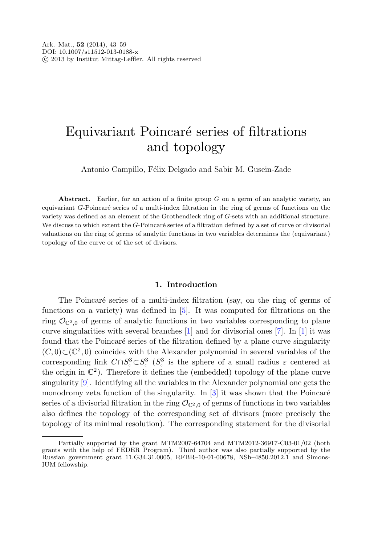# Equivariant Poincaré series of filtrations and topology

Antonio Campillo, Félix Delgado and Sabir M. Gusein-Zade

**Abstract.** Earlier, for an action of a finite group G on a germ of an analytic variety, an equivariant G-Poincaré series of a multi-index filtration in the ring of germs of functions on the variety was defined as an element of the Grothendieck ring of G-sets with an additional structure. We discuss to which extent the  $G$ -Poincaré series of a filtration defined by a set of curve or divisorial valuations on the ring of germs of analytic functions in two variables determines the (equivariant) topology of the curve or of the set of divisors.

## **1. Introduction**

The Poincaré series of a multi-index filtration (say, on the ring of germs of functions on a variety) was defined in [\[5](#page-15-0)]. It was computed for filtrations on the ring  $\mathcal{O}_{\mathbb{C}^2,0}$  of germs of analytic functions in two variables corresponding to plane curve singularities with several branches  $[1]$  $[1]$  and for divisorial ones  $[7]$  $[7]$ . In  $[1]$  $[1]$  it was found that the Poincaré series of the filtration defined by a plane curve singularity  $(C, 0) \subset (\mathbb{C}^2, 0)$  coincides with the Alexander polynomial in several variables of the corresponding link  $C \cap S^3_{\varepsilon} \subset S^3_{\varepsilon}$  ( $S^3_{\varepsilon}$  is the sphere of a small radius  $\varepsilon$  centered at the origin in  $\mathbb{C}^2$ ). Therefore it defines the (embedded) topology of the plane curve singularity [[9\]](#page-15-3). Identifying all the variables in the Alexander polynomial one gets the monodromy zeta function of the singularity. In  $[3]$  $[3]$  it was shown that the Poincaré series of a divisorial filtration in the ring  $\mathcal{O}_{\mathbb{C}^2,0}$  of germs of functions in two variables also defines the topology of the corresponding set of divisors (more precisely the topology of its minimal resolution). The corresponding statement for the divisorial

Partially supported by the grant MTM2007-64704 and MTM2012-36917-C03-01/02 (both grants with the help of FEDER Program). Third author was also partially supported by the Russian government grant 11.G34.31.0005, RFBR–10-01-00678, NSh–4850.2012.1 and Simons-IUM fellowship.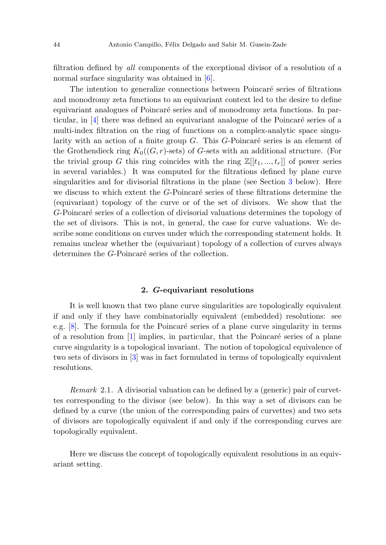filtration defined by all components of the exceptional divisor of a resolution of a normal surface singularity was obtained in [[6\]](#page-15-5).

The intention to generalize connections between Poincaré series of filtrations and monodromy zeta functions to an equivariant context led to the desire to define equivariant analogues of Poincaré series and of monodromy zeta functions. In particular, in  $[4]$  $[4]$  there was defined an equivariant analogue of the Poincaré series of a multi-index filtration on the ring of functions on a complex-analytic space singularity with an action of a finite group  $G$ . This  $G$ -Poincaré series is an element of the Grothendieck ring  $K_0((G, r)$ -sets) of G-sets with an additional structure. (For the trivial group G this ring coincides with the ring  $\mathbb{Z}[[t_1, ..., t_r]]$  of power series in several variables.) It was computed for the filtrations defined by plane curve singularities and for divisorial filtrations in the plane (see Section [3](#page-8-0) below). Here we discuss to which extent the  $G$ -Poincaré series of these filtrations determine the (equivariant) topology of the curve or of the set of divisors. We show that the G-Poincaré series of a collection of divisorial valuations determines the topology of the set of divisors. This is not, in general, the case for curve valuations. We describe some conditions on curves under which the corresponding statement holds. It remains unclear whether the (equivariant) topology of a collection of curves always determines the G-Poincaré series of the collection.

## **2.** *G***-equivariant resolutions**

It is well known that two plane curve singularities are topologically equivalent if and only if they have combinatorially equivalent (embedded) resolutions: see e.g.  $[8]$  $[8]$ . The formula for the Poincaré series of a plane curve singularity in terms of a resolution from  $[1]$  $[1]$  implies, in particular, that the Poincaré series of a plane curve singularity is a topological invariant. The notion of topological equivalence of two sets of divisors in [\[3](#page-15-4)] was in fact formulated in terms of topologically equivalent resolutions.

Remark 2.1. A divisorial valuation can be defined by a (generic) pair of curvettes corresponding to the divisor (see below). In this way a set of divisors can be defined by a curve (the union of the corresponding pairs of curvettes) and two sets of divisors are topologically equivalent if and only if the corresponding curves are topologically equivalent.

Here we discuss the concept of topologically equivalent resolutions in an equivariant setting.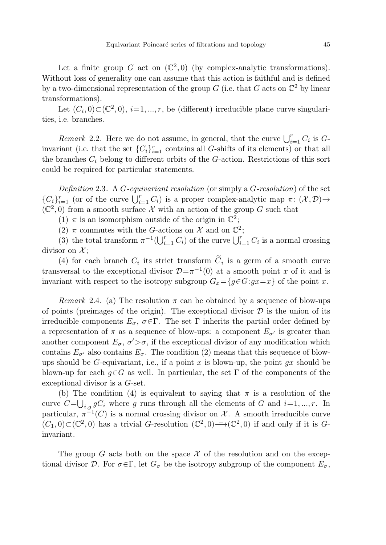Let  $(C_i, 0) \subset (\mathbb{C}^2, 0), i=1, ..., r$ , be (different) irreducible plane curve singularities, i.e. branches.

Remark 2.2. Here we do not assume, in general, that the curve  $\bigcup_{i=1}^{r} C_i$  is Ginvariant (i.e. that the set  $\{C_i\}_{i=1}^r$  contains all G-shifts of its elements) or that all the branches  $C_i$  belong to different orbits of the G-action. Restrictions of this sort could be required for particular statements.

Definition 2.3. A G-equivariant resolution (or simply a  $G$ -resolution) of the set  $\{C_i\}_{i=1}^r$  (or of the curve  $\bigcup_{i=1}^r C_i$ ) is a proper complex-analytic map  $\pi: (\mathcal{X}, \mathcal{D}) \rightarrow$  $(\mathbb{C}^2,0)$  from a smooth surface X with an action of the group G such that

(1)  $\pi$  is an isomorphism outside of the origin in  $\mathbb{C}^2$ ;

<span id="page-2-0"></span>(2)  $\pi$  commutes with the G-actions on X and on  $\mathbb{C}^2$ ;

(3) the total transform  $\pi^{-1}(\bigcup_{i=1}^r C_i)$  of the curve  $\bigcup_{i=1}^r C_i$  is a normal crossing divisor on  $\mathcal{X}$ ;

(4) for each branch  $C_i$  its strict transform  $\tilde{C}_i$  is a germ of a smooth curve transversal to the exceptional divisor  $\mathcal{D}=\pi^{-1}(0)$  at a smooth point x of it and is invariant with respect to the isotropy subgroup  $G_x = \{g \in G : gx = x\}$  of the point x.

*Remark* 2.4. (a) The resolution  $\pi$  can be obtained by a sequence of blow-ups of points (preimages of the origin). The exceptional divisor  $\mathcal D$  is the union of its irreducible components  $E_{\sigma}$ ,  $\sigma \in \Gamma$ . The set  $\Gamma$  inherits the partial order defined by a representation of  $\pi$  as a sequence of blow-ups: a component  $E_{\sigma'}$  is greater than another component  $E_{\sigma}$ ,  $\sigma' > \sigma$ , if the exceptional divisor of any modification which contains  $E_{\sigma'}$  also contains  $E_{\sigma}$ . The condition (2) means that this sequence of blowups should be G-equivariant, i.e., if a point x is blown-up, the point  $qx$  should be blown-up for each  $g \in G$  as well. In particular, the set Γ of the components of the exceptional divisor is a G-set.

(b) The condition (4) is equivalent to saying that  $\pi$  is a resolution of the curve  $C=\bigcup_{i,g} gC_i$  where g runs through all the elements of G and  $i=1,\dots,r$ . In particular,  $\pi^{-1}(C)$  is a normal crossing divisor on X. A smooth irreducible curve  $(C_1, 0) \subset (\mathbb{C}^2, 0)$  has a trivial G-resolution  $(\mathbb{C}^2, 0) = (\mathbb{C}^2, 0)$  if and only if it is Ginvariant.

The group G acts both on the space  $\mathcal X$  of the resolution and on the exceptional divisor D. For  $\sigma \in \Gamma$ , let  $G_{\sigma}$  be the isotropy subgroup of the component  $E_{\sigma}$ ,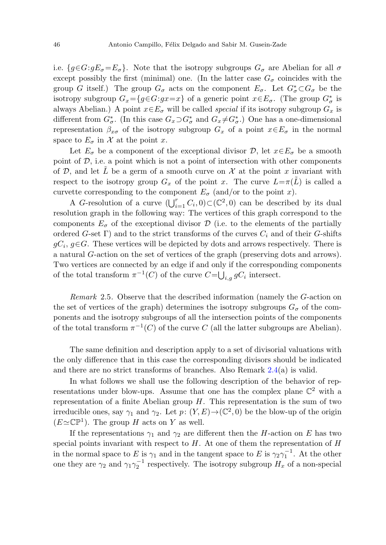i.e.  $\{q \in G: qE_{\sigma}=E_{\sigma}\}\$ . Note that the isotropy subgroups  $G_{\sigma}$  are Abelian for all  $\sigma$ except possibly the first (minimal) one. (In the latter case  $G_{\sigma}$  coincides with the group G itself.) The group  $G_{\sigma}$  acts on the component  $E_{\sigma}$ . Let  $G_{\sigma}^* \subset G_{\sigma}$  be the isotropy subgroup  $G_x = \{g \in G : gx = x\}$  of a generic point  $x \in E_\sigma$ . (The group  $G^*_\sigma$  is always Abelian.) A point  $x \in E_{\sigma}$  will be called *special* if its isotropy subgroup  $G_x$  is different from  $G^*_{\sigma}$ . (In this case  $G_x \supset G^*_{\sigma}$  and  $G_x \neq G^*_{\sigma}$ .) One has a one-dimensional representation  $\beta_{x\sigma}$  of the isotropy subgroup  $G_x$  of a point  $x \in E_{\sigma}$  in the normal space to  $E_{\sigma}$  in X at the point x.

Let  $E_{\sigma}$  be a component of the exceptional divisor  $\mathcal{D}$ , let  $x \in E_{\sigma}$  be a smooth point of  $D$ , i.e. a point which is not a point of intersection with other components of D, and let  $\tilde{L}$  be a germ of a smooth curve on  $\mathcal X$  at the point x invariant with respect to the isotropy group  $G_x$  of the point x. The curve  $L=\pi(\tilde{L})$  is called a curvette corresponding to the component  $E_{\sigma}$  (and/or to the point x).

A G-resolution of a curve  $(\bigcup_{i=1}^r C_i, 0) \subset (\mathbb{C}^2, 0)$  can be described by its dual resolution graph in the following way: The vertices of this graph correspond to the components  $E_{\sigma}$  of the exceptional divisor  $\mathcal{D}$  (i.e. to the elements of the partially ordered G-set Γ) and to the strict transforms of the curves  $C_i$  and of their G-shifts  $gC_i$ ,  $g\in G$ . These vertices will be depicted by dots and arrows respectively. There is a natural G-action on the set of vertices of the graph (preserving dots and arrows). Two vertices are connected by an edge if and only if the corresponding components of the total transform  $\pi^{-1}(C)$  of the curve  $C=\bigcup_{i,g} gC_i$  intersect.

Remark 2.5. Observe that the described information (namely the G-action on the set of vertices of the graph) determines the isotropy subgroups  $G_{\sigma}$  of the components and the isotropy subgroups of all the intersection points of the components of the total transform  $\pi^{-1}(C)$  of the curve C (all the latter subgroups are Abelian).

The same definition and description apply to a set of divisorial valuations with the only difference that in this case the corresponding divisors should be indicated and there are no strict transforms of branches. Also Remark [2.4](#page-2-0)(a) is valid.

In what follows we shall use the following description of the behavior of representations under blow-ups. Assume that one has the complex plane  $\mathbb{C}^2$  with a representation of a finite Abelian group  $H$ . This representation is the sum of two irreducible ones, say  $\gamma_1$  and  $\gamma_2$ . Let  $p: (Y, E) \to (\mathbb{C}^2, 0)$  be the blow-up of the origin  $(E \simeq \mathbb{CP}^1)$ . The group H acts on Y as well.

If the representations  $\gamma_1$  and  $\gamma_2$  are different then the H-action on E has two special points invariant with respect to  $H$ . At one of them the representation of  $H$ in the normal space to E is  $\gamma_1$  and in the tangent space to E is  $\gamma_2 \gamma_1^{-1}$ . At the other one they are  $\gamma_2$  and  $\gamma_1 \gamma_2^{-1}$  respectively. The isotropy subgroup  $H_x$  of a non-special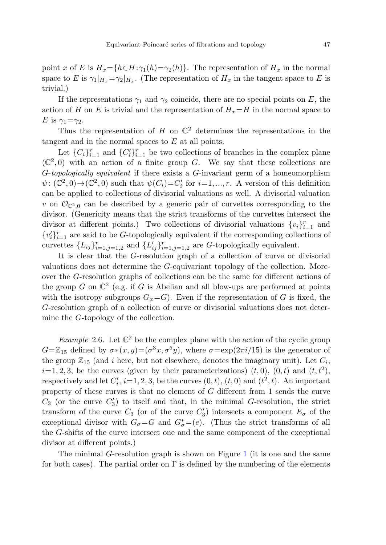point x of E is  $H_x = \{h \in H : \gamma_1(h) = \gamma_2(h)\}\.$  The representation of  $H_x$  in the normal space to E is  $\gamma_1|_{H_x} = \gamma_2|_{H_x}$ . (The representation of  $H_x$  in the tangent space to E is trivial.)

If the representations  $\gamma_1$  and  $\gamma_2$  coincide, there are no special points on E, the action of H on E is trivial and the representation of  $H_x=H$  in the normal space to E is  $\gamma_1 = \gamma_2$ .

Thus the representation of H on  $\mathbb{C}^2$  determines the representations in the tangent and in the normal spaces to E at all points.

Let  $\{C_i\}_{i=1}^r$  and  $\{C_i'\}_{i=1}^r$  be two collections of branches in the complex plane  $(\mathbb{C}^2,0)$  with an action of a finite group G. We say that these collections are G-topologically equivalent if there exists a G-invariant germ of a homeomorphism  $\psi: (\mathbb{C}^2, 0) \to (\mathbb{C}^2, 0)$  such that  $\psi(C_i) = C'_i$  for  $i = 1, ..., r$ . A version of this definition can be applied to collections of divisorial valuations as well. A divisorial valuation v on  $\mathcal{O}_{\mathbb{C}^2,0}$  can be described by a generic pair of curvettes corresponding to the divisor. (Genericity means that the strict transforms of the curvettes intersect the divisor at different points.) Two collections of divisorial valuations  ${v_i}_{i=1}^r$  and  $\{v_i'\}_{i=1}^r$  are said to be G-topologically equivalent if the corresponding collections of curvettes  $\{L_{ij}\}_{i=1,j=1,2}^r$  and  $\{L'_{ij}\}_{i=1,j=1,2}^r$  are G-topologically equivalent.

<span id="page-4-0"></span>It is clear that the G-resolution graph of a collection of curve or divisorial valuations does not determine the G-equivariant topology of the collection. Moreover the G-resolution graphs of collections can be the same for different actions of the group G on  $\mathbb{C}^2$  (e.g. if G is Abelian and all blow-ups are performed at points with the isotropy subgroups  $G_x = G$ . Even if the representation of G is fixed, the G-resolution graph of a collection of curve or divisorial valuations does not determine the G-topology of the collection.

Example 2.6. Let  $\mathbb{C}^2$  be the complex plane with the action of the cyclic group  $G=\mathbb{Z}_{15}$  defined by  $\sigma*(x,y)=(\sigma^3x,\sigma^5y)$ , where  $\sigma=\exp(2\pi i/15)$  is the generator of the group  $\mathbb{Z}_{15}$  (and i here, but not elsewhere, denotes the imaginary unit). Let  $C_i$ ,  $i=1, 2, 3$ , be the curves (given by their parameterizations)  $(t, 0)$ ,  $(0, t)$  and  $(t, t<sup>2</sup>)$ , respectively and let  $C_i$ ,  $i=1, 2, 3$ , be the curves  $(0, t)$ ,  $(t, 0)$  and  $(t^2, t)$ . An important property of these curves is that no element of G different from 1 sends the curve  $C_3$  (or the curve  $C'_3$ ) to itself and that, in the minimal G-resolution, the strict transform of the curve  $C_3$  (or of the curve  $C'_3$ ) intersects a component  $E_{\sigma}$  of the exceptional divisor with  $G_{\sigma} = G$  and  $G_{\sigma}^* = (e)$ . (Thus the strict transforms of all the G-shifts of the curve intersect one and the same component of the exceptional divisor at different points.)

The minimal G-resolution graph is shown on Figure [1](#page-5-0) (it is one and the same for both cases). The partial order on  $\Gamma$  is defined by the numbering of the elements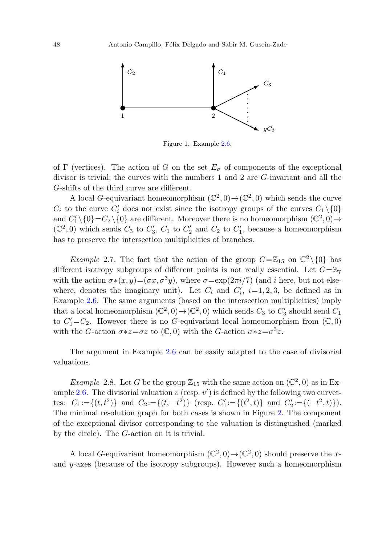

Figure 1. Example [2.6](#page-4-0).

<span id="page-5-0"></span>of Γ (vertices). The action of G on the set  $E_{\sigma}$  of components of the exceptional divisor is trivial; the curves with the numbers 1 and 2 are G-invariant and all the G-shifts of the third curve are different.

<span id="page-5-2"></span>A local G-equivariant homeomorphism  $(\mathbb{C}^2,0) \to (\mathbb{C}^2,0)$  which sends the curve  $C_i$  to the curve  $C'_i$  does not exist since the isotropy groups of the curves  $C_1 \setminus \{0\}$ and  $C_1' \setminus \{0\} = C_2 \setminus \{0\}$  are different. Moreover there is no homeomorphism  $(\mathbb{C}^2, 0) \rightarrow$  $(\mathbb{C}^2,0)$  which sends  $C_3$  to  $C'_3$ ,  $C_1$  to  $C'_2$  and  $C_2$  to  $C'_1$ , because a homeomorphism has to preserve the intersection multiplicities of branches.

*Example 2.7.* The fact that the action of the group  $G = \mathbb{Z}_{15}$  on  $\mathbb{C}^2 \setminus \{0\}$  has different isotropy subgroups of different points is not really essential. Let  $G=\mathbb{Z}_7$ with the action  $\sigma*(x, y) = (\sigma x, \sigma^3 y)$ , where  $\sigma = \exp(2\pi i/7)$  (and i here, but not elsewhere, denotes the imaginary unit). Let  $C_i$  and  $C'_i$ ,  $i=1, 2, 3$ , be defined as in Example [2.6.](#page-4-0) The same arguments (based on the intersection multiplicities) imply that a local homeomorphism  $(\mathbb{C}^2, 0) \to (\mathbb{C}^2, 0)$  which sends  $C_3$  to  $C'_3$  should send  $C_1$ to  $C_1' = C_2$ . However there is no G-equivariant local homeomorphism from  $(\mathbb{C}, 0)$ with the G-action  $\sigma * z = \sigma z$  to  $(\mathbb{C}, 0)$  with the G-action  $\sigma * z = \sigma^3 z$ .

<span id="page-5-1"></span>The argument in Example [2.6](#page-4-0) can be easily adapted to the case of divisorial valuations.

*Example* 2.8. Let G be the group  $\mathbb{Z}_{15}$  with the same action on  $(\mathbb{C}^2,0)$  as in Ex-ample [2.6.](#page-4-0) The divisorial valuation  $v$  (resp.  $v'$ ) is defined by the following two curvettes:  $C_1 := \{(t, t^2)\}\$ and  $C_2 := \{(t, -t^2)\}\$  (resp.  $C'_1 := \{(t^2, t)\}\$ and  $C'_2 := \{(-t^2, t)\}\$ . The minimal resolution graph for both cases is shown in Figure [2](#page-6-0). The component of the exceptional divisor corresponding to the valuation is distinguished (marked by the circle). The G-action on it is trivial.

A local G-equivariant homeomorphism  $(\mathbb{C}^2,0) \to (\mathbb{C}^2,0)$  should preserve the xand y-axes (because of the isotropy subgroups). However such a homeomorphism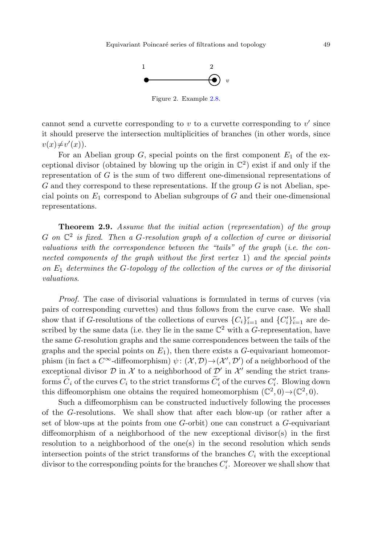

Figure 2. Example [2.8](#page-5-1).

<span id="page-6-0"></span>cannot send a curvette corresponding to  $v$  to a curvette corresponding to  $v'$  since it should preserve the intersection multiplicities of branches (in other words, since  $v(x) \neq v'(x)$ .

<span id="page-6-1"></span>For an Abelian group  $G$ , special points on the first component  $E_1$  of the exceptional divisor (obtained by blowing up the origin in  $\mathbb{C}^2$ ) exist if and only if the representation of G is the sum of two different one-dimensional representations of  $G$  and they correspond to these representations. If the group  $G$  is not Abelian, special points on  $E_1$  correspond to Abelian subgroups of G and their one-dimensional representations.

**Theorem 2***.***9.** Assume that the initial action (representation) of the group  $G$  on  $\mathbb{C}^2$  is fixed. Then a G-resolution graph of a collection of curve or divisorial valuations with the correspondence between the "tails" of the graph (i.e. the connected components of the graph without the first vertex 1) and the special points on  $E_1$  determines the G-topology of the collection of the curves or of the divisorial valuations.

Proof. The case of divisorial valuations is formulated in terms of curves (via pairs of corresponding curvettes) and thus follows from the curve case. We shall show that if G-resolutions of the collections of curves  $\{C_i\}_{i=1}^r$  and  $\{C_i'\}_{i=1}^r$  are described by the same data (i.e. they lie in the same  $\mathbb{C}^2$  with a G-representation, have the same G-resolution graphs and the same correspondences between the tails of the graphs and the special points on  $E_1$ ), then there exists a G-equivariant homeomorphism (in fact a  $C^{\infty}$ -diffeomorphism)  $\psi: (\mathcal{X}, \mathcal{D}) \to (\mathcal{X}', \mathcal{D}')$  of a neighborhood of the exceptional divisor  $D$  in  $\mathcal X$  to a neighborhood of  $D'$  in  $\mathcal X'$  sending the strict transforms  $C_i$  of the curves  $C_i$  to the strict transforms  $C'_i$  of the curves  $C'_i$ . Blowing down this diffeomorphism one obtains the required homeomorphism  $(\mathbb{C}^2, 0) \rightarrow (\mathbb{C}^2, 0)$ .

Such a diffeomorphism can be constructed inductively following the processes of the G-resolutions. We shall show that after each blow-up (or rather after a set of blow-ups at the points from one  $G$ -orbit) one can construct a  $G$ -equivariant diffeomorphism of a neighborhood of the new exceptional divisor(s) in the first resolution to a neighborhood of the one(s) in the second resolution which sends intersection points of the strict transforms of the branches  $C_i$  with the exceptional divisor to the corresponding points for the branches  $C_i'$ . Moreover we shall show that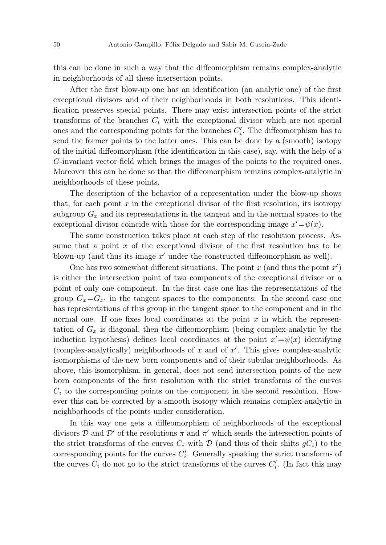this can be done in such a way that the diffeomorphism remains complex-analytic in neighborhoods of all these intersection points.

After the first blow-up one has an identification (an analytic one) of the first exceptional divisors and of their neighborhoods in both resolutions. This identification preserves special points. There may exist intersection points of the strict transforms of the branches  $C_i$  with the exceptional divisor which are not special ones and the corresponding points for the branches  $C_i'$ . The diffeomorphism has to send the former points to the latter ones. This can be done by a (smooth) isotopy of the initial diffeomorphism (the identification in this case), say, with the help of a G-invariant vector field which brings the images of the points to the required ones. Moreover this can be done so that the diffeomorphism remains complex-analytic in neighborhoods of these points.

The description of the behavior of a representation under the blow-up shows that, for each point  $x$  in the exceptional divisor of the first resolution, its isotropy subgroup  $G_x$  and its representations in the tangent and in the normal spaces to the exceptional divisor coincide with those for the corresponding image  $x' = \psi(x)$ .

The same construction takes place at each step of the resolution process. Assume that a point  $x$  of the exceptional divisor of the first resolution has to be blown-up (and thus its image  $x'$  under the constructed diffeomorphism as well).

One has two somewhat different situations. The point  $x$  (and thus the point  $x'$ ) is either the intersection point of two components of the exceptional divisor or a point of only one component. In the first case one has the representations of the group  $G_x = G_{x'}$  in the tangent spaces to the components. In the second case one has representations of this group in the tangent space to the component and in the normal one. If one fixes local coordinates at the point  $x$  in which the representation of  $G_x$  is diagonal, then the diffeomorphism (being complex-analytic by the induction hypothesis) defines local coordinates at the point  $x' = \psi(x)$  identifying (complex-analytically) neighborhoods of  $x$  and of  $x'$ . This gives complex-analytic isomorphisms of the new born components and of their tubular neighborhoods. As above, this isomorphism, in general, does not send intersection points of the new born components of the first resolution with the strict transforms of the curves  $C_i$  to the corresponding points on the component in the second resolution. However this can be corrected by a smooth isotopy which remains complex-analytic in neighborhoods of the points under consideration.

In this way one gets a diffeomorphism of neighborhoods of the exceptional divisors  $D$  and  $D'$  of the resolutions  $\pi$  and  $\pi'$  which sends the intersection points of the strict transforms of the curves  $C_i$  with  $\mathcal D$  (and thus of their shifts  $gC_i$ ) to the corresponding points for the curves  $C_i'$ . Generally speaking the strict transforms of the curves  $C_i$  do not go to the strict transforms of the curves  $C_i'$ . (In fact this may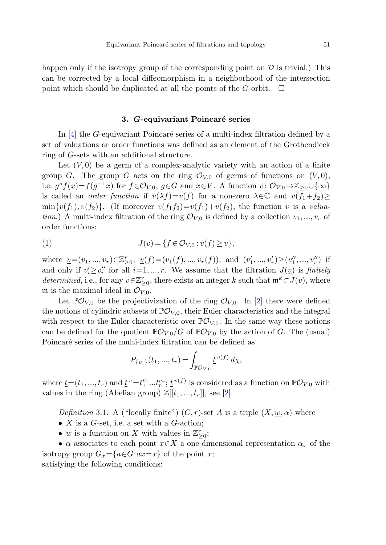<span id="page-8-0"></span>happen only if the isotropy group of the corresponding point on  $\mathcal D$  is trivial.) This can be corrected by a local diffeomorphism in a neighborhood of the intersection point which should be duplicated at all the points of the G-orbit.  $\Box$ 

#### **3.** *G***-equivariant Poincar´e series**

In  $[4]$  $[4]$  the G-equivariant Poincaré series of a multi-index filtration defined by a set of valuations or order functions was defined as an element of the Grothendieck ring of G-sets with an additional structure.

<span id="page-8-1"></span>Let  $(V, 0)$  be a germ of a complex-analytic variety with an action of a finite group G. The group G acts on the ring  $\mathcal{O}_{V,0}$  of germs of functions on  $(V, 0)$ , i.e.  $g * f(x) = f(g^{-1}x)$  for  $f \in \mathcal{O}_{V,0}$ ,  $g \in G$  and  $x \in V$ . A function  $v : \mathcal{O}_{V,0} \to \mathbb{Z}_{\geq 0} \cup \{\infty\}$ is called an *order function* if  $v(\lambda f)=v(f)$  for a non-zero  $\lambda \in \mathbb{C}$  and  $v(f_1+f_2)\geq$  $\min\{v(f_1), v(f_2)\}\$ . (If moreover  $v(f_1f_2)=v(f_1)+v(f_2)$ , the function v is a valuation.) A multi-index filtration of the ring  $\mathcal{O}_{V,0}$  is defined by a collection  $v_1, ..., v_r$  of order functions:

(1) 
$$
J(\underline{v}) = \{f \in \mathcal{O}_{V,0} : \underline{v}(f) \ge \underline{v}\},
$$

where  $\underline{v} = (v_1, ..., v_r) \in \mathbb{Z}_{\geq 0}^r$ ,  $\underline{v}(f) = (v_1(f), ..., v_r(f))$ , and  $(v'_1, ..., v'_r) \geq (v''_1, ..., v''_r)$  if and only if  $v'_i \geq v''_i$  for all  $i=1, ..., r$ . We assume that the filtration  $J(\underline{v})$  is finitely determined, i.e., for any  $\underline{v} \in \mathbb{Z}_{\geq 0}^r$ , there exists an integer k such that  $\mathfrak{m}^k \subset J(\underline{v})$ , where m is the maximal ideal in  $\mathcal{O}_{V,0}$ .

Let  $\mathbb{P}\mathcal{O}_{V,0}$  be the projectivization of the ring  $\mathcal{O}_{V,0}$ . In [\[2](#page-15-8)] there were defined the notions of cylindric subsets of  $PO_{V,0}$ , their Euler characteristics and the integral with respect to the Euler characteristic over  $\mathbb{P} \mathcal{O}_{V,0}$ . In the same way these notions can be defined for the quotient  $\mathbb{P}\mathcal{O}_{V,0}/G$  of  $\mathbb{P}\mathcal{O}_{V,0}$  by the action of G. The (usual) Poincaré series of the multi-index filtration can be defined as

$$
P_{\{v_i\}}(t_1, ..., t_r) = \int_{\mathbb{P}\mathcal{O}_{V,0}} \underline{t}^{\underline{v}(f)} d\chi,
$$

where  $\underline{t}=(t_1,...,t_r)$  and  $\underline{t}^{\underline{v}}=t_1^{v_1}...t_r^{v_r};$   $\underline{t}^{\underline{v}(f)}$  is considered as a function on  $\mathbb{P} \mathcal{O}_{V,0}$  with values in the ring (Abelian group)  $\mathbb{Z}[[t_1, ..., t_r]],$  see [[2\]](#page-15-8).

Definition 3.1. A ("locally finite")  $(G, r)$ -set A is a triple  $(X, w, \alpha)$  where

- $X$  is a  $G$ -set, i.e. a set with a  $G$ -action;
- <u>w</u> is a function on X with values in  $\mathbb{Z}_{\geq 0}^r$ ;

•  $\alpha$  associates to each point  $x \in X$  a one-dimensional representation  $\alpha_x$  of the isotropy group  $G_x = \{a \in G : ax = x\}$  of the point x; satisfying the following conditions: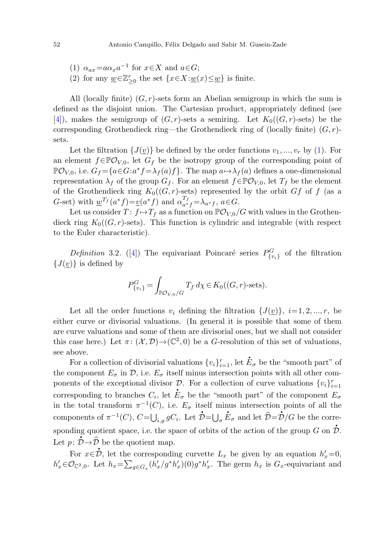- (1)  $\alpha_{ax} = a\alpha_x a^{-1}$  for  $x \in X$  and  $a \in G$ ;
- (2) for any  $\underline{w}\!\in\!\mathbb{Z}^r_{\geq 0}$  the set  $\{x\!\in\!X\!:\!\underline{w}(x)\!\leq\! \underline{w}\}$  is finite.

All (locally finite)  $(G, r)$ -sets form an Abelian semigroup in which the sum is defined as the disjoint union. The Cartesian product, appropriately defined (see [\[4](#page-15-6)]), makes the semigroup of  $(G, r)$ -sets a semiring. Let  $K_0((G, r)$ -sets) be the corresponding Grothendieck ring—the Grothendieck ring of (locally finite)  $(G, r)$ sets.

Let the filtration  $\{J(\underline{v})\}$  be defined by the order functions  $v_1, ..., v_r$  by [\(1](#page-8-1)). For an element  $f \in \mathbb{P}\mathcal{O}_{V,0}$ , let  $G_f$  be the isotropy group of the corresponding point of  $\mathbb{P}\mathcal{O}_{V,0}$ , i.e.  $G_f = \{a \in G : a^*f = \lambda_f(a)f\}$ . The map  $a \mapsto \lambda_f(a)$  defines a one-dimensional representation  $\lambda_f$  of the group  $G_f$ . For an element  $f \in \mathbb{P}\mathcal{O}_{V,0}$ , let  $T_f$  be the element of the Grothendieck ring  $K_0((G, r)$ -sets) represented by the orbit Gf of f (as a G-set) with  $\underline{w}^{T_f}(a^*f) = \underline{v}(a^*f)$  and  $\alpha_{a^*f}^{T_f} = \lambda_{a^*f}$ ,  $a \in G$ .

Let us consider  $T: f \mapsto T_f$  as a function on  $\mathbb{P} \mathcal{O}_{V,0}/G$  with values in the Grothendieck ring  $K_0((G, r)$ -sets). This function is cylindric and integrable (with respect to the Euler characteristic).

Definition 3.2. ([[4\]](#page-15-6)) The equivariant Poincaré series  $P_{\{v_i\}}^G$  of the filtration  ${J(v)}$  is defined by

$$
P_{\{v_i\}}^G = \int_{\mathbb{P}\mathcal{O}_{V,0}/G} T_f \, d\chi \in K_0((G,r)\text{-sets}).
$$

Let all the order functions  $v_i$  defining the filtration  $\{J(v)\}\,$ ,  $i=1, 2, ..., r$ , be either curve or divisorial valuations. (In general it is possible that some of them are curve valuations and some of them are divisorial ones, but we shall not consider this case here.) Let  $\pi: (\mathcal{X}, \mathcal{D}) \to (\mathbb{C}^2, 0)$  be a G-resolution of this set of valuations, see above.

For a collection of divisorial valuations  $\{v_i\}_{i=1}^r$ , let  $\dot{\mathbf{E}}_{\sigma}$  be the "smooth part" of the component  $E_{\sigma}$  in  $\mathcal{D}$ , i.e.  $E_{\sigma}$  itself minus intersection points with all other components of the exceptional divisor  $D$ . For a collection of curve valuations  $\{v_i\}_{i=1}^r$ ponents of the exceptional divisor  $\mathcal{L}$ . For a conection of curve valuations  $\mathcal{U}_{i}$   $\mathcal{U}_{i=1}$ <br>corresponding to branches  $C_i$ , let  $\mathcal{L}_{\sigma}$  be the "smooth part" of the component  $E_{\sigma}$ in the total transform  $\pi^{-1}(C)$ , i.e.  $E_{\sigma}$  itself minus intersection points of all the components of  $\pi^{-1}(C)$ ,  $C=\bigcup$ *i*, *g G*<sub>*i*</sub>. Let  $\dot{\mathcal{D}} = \bigcup_{\sigma} \dot{B}$  $\vec{E}_{\sigma}$  and let  $\hat{\mathcal{D}} = \vec{\mathcal{D}}/G$  be the corresponding quotient space, i.e. the space of orbits of the action of the group  $G$  on  $\mathcal{D}$ . Exponding quotient space, i.e. the space<br>Let  $p: \mathcal{D} \to \widehat{\mathcal{D}}$  be the quotient map.

For  $x \in \mathcal{D}$ , let the corresponding curvette  $L_x$  be given by an equation  $h'_x=0$ ,  $h'_x \in \mathcal{O}_{\mathbb{C}^2,0}$ . Let  $h_x = \sum_{g \in G_x} (h'_x/g^*h'_x)(0)g^*h'_x$ . The germ  $h_x$  is  $G_x$ -equivariant and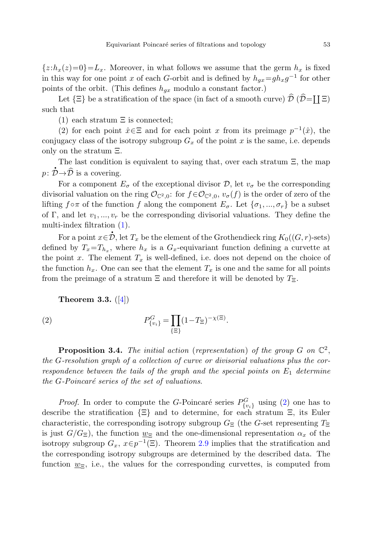${z:h_x(z)=0}$ =L<sub>x</sub>. Moreover, in what follows we assume that the germ  $h_x$  is fixed in this way for one point x of each G-orbit and is defined by  $h_{ax}=gh_{x}g^{-1}$  for other points of the orbit. (This defines  $h_{gx}$  modulo a constant factor.)

Let  $\{\Xi\}$  be a stratification of the space (in fact of a smooth curve)  $\hat{\mathcal{D}}$  ( $\hat{\mathcal{D}} =$  [[ $\Xi$ ) such that

(1) each stratum  $\Xi$  is connected;

(2) for each point  $\hat{x} \in \Xi$  and for each point x from its preimage  $p^{-1}(\hat{x})$ , the conjugacy class of the isotropy subgroup  $G_x$  of the point x is the same, i.e. depends only on the stratum Ξ.

The last condition is equivalent to saying that, over each stratum Ξ, the map  $p: \mathring{\mathcal{D}} \rightarrow \mathcal{\widehat{D}}$  is a covering.

For a component  $E_{\sigma}$  of the exceptional divisor  $\mathcal{D}$ , let  $v_{\sigma}$  be the corresponding divisorial valuation on the ring  $\mathcal{O}_{\mathbb{C}^2,0}$ : for  $f \in \mathcal{O}_{\mathbb{C}^2,0}$ ,  $v_{\sigma}(f)$  is the order of zero of the lifting  $f \circ \pi$  of the function f along the component  $E_{\sigma}$ . Let  $\{\sigma_1, ..., \sigma_r\}$  be a subset of Γ, and let  $v_1, ..., v_r$  be the corresponding divisorial valuations. They define the multi-index filtration ([1\)](#page-8-1).

<span id="page-10-1"></span><span id="page-10-0"></span>For a point  $x \in \mathcal{D}$ , let  $T_x$  be the element of the Grothendieck ring  $K_0((G,r)$ -sets) defined by  $T_x=T_{h_x}$ , where  $h_x$  is a  $G_x$ -equivariant function defining a curvette at the point x. The element  $T_x$  is well-defined, i.e. does not depend on the choice of the function  $h_x$ . One can see that the element  $T_x$  is one and the same for all points from the preimage of a stratum  $\Xi$  and therefore it will be denoted by  $T_{\Xi}$ .

**Theorem 3***.***3.** ([[4\]](#page-15-6))

(2) 
$$
P_{\{v_i\}}^G = \prod_{\{\Xi\}} (1 - T_{\Xi})^{-\chi(\Xi)}.
$$

**Proposition 3.4.** The initial action (representation) of the group  $G$  on  $\mathbb{C}^2$ , the G-resolution graph of a collection of curve or divisorial valuations plus the correspondence between the tails of the graph and the special points on  $E_1$  determine the  $G$ -Poincaré series of the set of valuations.

*Proof.* In order to compute the G-Poincaré series  $P_{\{v_i\}}^G$  using [\(2](#page-10-0)) one has to describe the stratification {Ξ} and to determine, for each stratum Ξ, its Euler characteristic, the corresponding isotropy subgroup  $G_{\Xi}$  (the G-set representing  $T_{\Xi}$ ) is just  $G/G_{\Xi}$ ), the function  $\underline{w}_{\Xi}$  and the one-dimensional representation  $\alpha_x$  of the isotropy subgroup  $G_x$ ,  $x \in p^{-1}(\Xi)$ . Theorem [2.9](#page-6-1) implies that the stratification and the corresponding isotropy subgroups are determined by the described data. The function  $\underline{w}_{\Xi}$ , i.e., the values for the corresponding curvettes, is computed from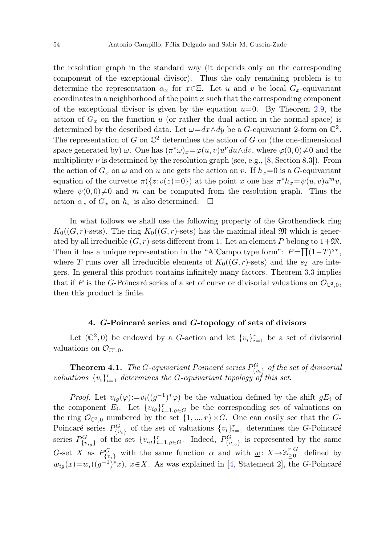the resolution graph in the standard way (it depends only on the corresponding component of the exceptional divisor). Thus the only remaining problem is to determine the representation  $\alpha_x$  for  $x \in \Xi$ . Let u and v be local  $G_x$ -equivariant coordinates in a neighborhood of the point  $x$  such that the corresponding component of the exceptional divisor is given by the equation  $u=0$ . By Theorem [2.9,](#page-6-1) the action of  $G_x$  on the function u (or rather the dual action in the normal space) is determined by the described data. Let  $\omega = dx \wedge dy$  be a G-equivariant 2-form on  $\mathbb{C}^2$ . The representation of G on  $\mathbb{C}^2$  determines the action of G on (the one-dimensional space generated by)  $\omega$ . One has  $(\pi^*\omega)_x=\varphi(u, v)u^{\nu}du\wedge dv$ , where  $\varphi(0,0)\neq0$  and the multiplicity  $\nu$  is determined by the resolution graph (see, e.g., [\[8](#page-15-7), Section 8.3]). From the action of  $G_x$  on  $\omega$  and on u one gets the action on v. If  $h_x=0$  is a G-equivariant equation of the curvette  $\pi({z:u(z)=0})$  at the point x one has  $\pi^*h_x=\psi(u, v)u^mv$ , where  $\psi(0,0)\neq0$  and m can be computed from the resolution graph. Thus the action  $\alpha_x$  of  $G_x$  on  $h_x$  is also determined.  $\Box$ 

In what follows we shall use the following property of the Grothendieck ring  $K_0((G, r)$ -sets). The ring  $K_0((G, r)$ -sets) has the maximal ideal M which is generated by all irreducible  $(G, r)$ -sets different from 1. Let an element P belong to  $1+\mathfrak{M}$ . Then it has a unique representation in the "A'Campo type form":  $P = \prod_{i=1}^{n} (1-T)^{s_T}$ , where T runs over all irreducible elements of  $K_0((G, r)$ -sets) and the  $s_T$  are integers. In general this product contains infinitely many factors. Theorem [3.3](#page-10-1) implies that if P is the G-Poincaré series of a set of curve or divisorial valuations on  $\mathcal{O}_{\mathbb{C}^2,0}$ , then this product is finite.

## <span id="page-11-0"></span>**4.** *G***-Poincar´e series and** *G***-topology of sets of divisors**

Let  $(\mathbb{C}^2,0)$  be endowed by a G-action and let  $\{v_i\}_{i=1}^r$  be a set of divisorial valuations on  $\mathcal{O}_{\mathbb{C}^2,0}$ .

**Theorem 4.1.** The G-equivariant Poincaré series  $P^G_{\{v_i\}}$  of the set of divisorial valuations  $\{v_i\}_{i=1}^r$  determines the G-equivariant topology of this set.

*Proof.* Let  $v_{iq}(\varphi) := v_i((g^{-1})^*\varphi)$  be the valuation defined by the shift  $gE_i$  of the component  $E_i$ . Let  $\{v_{ig}\}_{i=1,g\in G}^r$  be the corresponding set of valuations on the ring  $\mathcal{O}_{\mathbb{C}^2,0}$  numbered by the set  $\{1, ..., r\} \times G$ . One can easily see that the G-Poincaré series  $P_{\{v_i\}}^G$  of the set of valuations  $\{v_i\}_{i=1}^r$  determines the G-Poincaré series  $P_{\{v_{ig}\}}^G$  of the set  $\{v_{ig}\}_{i=1,g\in G}^r$ . Indeed,  $P_{\{v_{ig}\}}^G$  is represented by the same G-set X as  $P_{\{v_i\}}^G$  with the same function  $\alpha$  and with  $\underline{w}: X \to \mathbb{Z}_{\geq 0}^{r|G|}$  defined by  $w_{ig}(x)=w_i((g^{-1})^*x), x\in X$ . As was explained in [[4,](#page-15-6) Statement 2], the G-Poincaré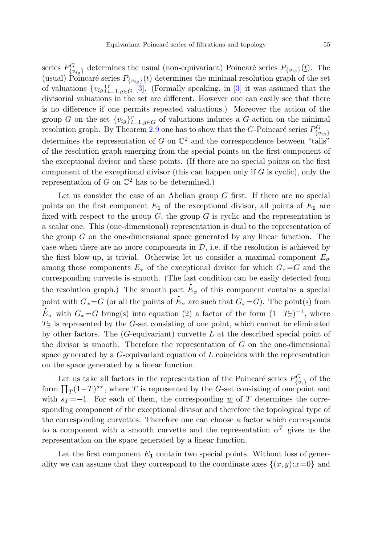series  $P_{\{v_{ig}\}}^G$  determines the usual (non-equivariant) Poincaré series  $P_{\{v_{ig}\}}(\underline{t})$ . The (usual) Poincaré series  $P_{\{v_{i\alpha}\}}(t)$  determines the minimal resolution graph of the set of valuations  $\{v_{ig}\}_{i=1,g\in G}^r$  [[3\]](#page-15-4). (Formally speaking, in [3] it was assumed that the divisorial valuations in the set are different. However one can easily see that there is no difference if one permits repeated valuations.) Moreover the action of the group G on the set  ${v_{ig}}_{i=1,g\in G}^r$  of valuations induces a G-action on the minimal resolution graph. By Theorem [2.9](#page-6-1) one has to show that the G-Poincaré series  $P^G_{\{v_{ig}\}}$ determines the representation of G on  $\mathbb{C}^2$  and the correspondence between "tails" of the resolution graph emerging from the special points on the first component of the exceptional divisor and these points. (If there are no special points on the first component of the exceptional divisor (this can happen only if  $G$  is cyclic), only the representation of G on  $\mathbb{C}^2$  has to be determined.)

Let us consider the case of an Abelian group  $G$  first. If there are no special points on the first component  $E_1$  of the exceptional divisor, all points of  $E_1$  are fixed with respect to the group  $G$ , the group  $G$  is cyclic and the representation is a scalar one. This (one-dimensional) representation is dual to the representation of the group  $G$  on the one-dimensional space generated by any linear function. The case when there are no more components in  $\mathcal{D}$ , i.e. if the resolution is achieved by the first blow-up, is trivial. Otherwise let us consider a maximal component  $E_{\sigma}$ among those components  $E_{\tau}$  of the exceptional divisor for which  $G_{\tau} = G$  and the corresponding curvette is smooth. (The last condition can be easily detected from the resolution graph.) The smooth part  $\dot{E}_{\sigma}$  of this component contains a special point with  $G_x = G$  (or all the points of  $\dot{E}_{\sigma}$  are such that  $G_x = G$ ). The point(s) from  $E_{\sigma}$  with  $G_x = G$  bring(s) into equation [\(2](#page-10-0)) a factor of the form  $(1-T_{\Xi})^{-1}$ , where  $T_{\Xi}$  is represented by the G-set consisting of one point, which cannot be eliminated by other factors. The  $(G$ -equivariant) curvette  $L$  at the described special point of the divisor is smooth. Therefore the representation of  $G$  on the one-dimensional space generated by a  $G$ -equivariant equation of  $L$  coincides with the representation on the space generated by a linear function.

Let us take all factors in the representation of the Poincaré series  $P_{\{v_i\}}^G$  of the form  $\prod_{T} (1-T)^{s_T}$ , where T is represented by the G-set consisting of one point and with  $s_T = -1$ . For each of them, the corresponding w of T determines the corresponding component of the exceptional divisor and therefore the topological type of the corresponding curvettes. Therefore one can choose a factor which corresponds to a component with a smooth curvette and the representation  $\alpha^T$  gives us the representation on the space generated by a linear function.

Let the first component  $E_1$  contain two special points. Without loss of generality we can assume that they correspond to the coordinate axes  $\{(x, y): x=0\}$  and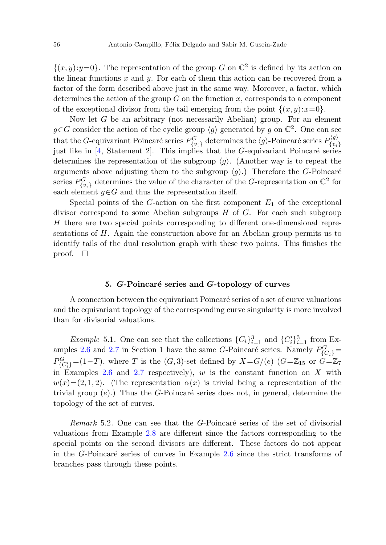$\{(x, y):y=0\}$ . The representation of the group G on  $\mathbb{C}^2$  is defined by its action on the linear functions  $x$  and  $y$ . For each of them this action can be recovered from a factor of the form described above just in the same way. Moreover, a factor, which determines the action of the group  $G$  on the function  $x$ , corresponds to a component of the exceptional divisor from the tail emerging from the point  $\{(x, y): x=0\}$ .

Now let  $G$  be an arbitrary (not necessarily Abelian) group. For an element  $g \in G$  consider the action of the cyclic group  $\langle g \rangle$  generated by g on  $\mathbb{C}^2$ . One can see that the G-equivariant Poincaré series  $P_{\{v_i\}}^G$  determines the  $\langle g \rangle$ -Poincaré series  $P_{\{v_i\}}^{\langle g \rangle}$ just like in  $[4,$  $[4,$  Statement 2. This implies that the G-equivariant Poincaré series determines the representation of the subgroup  $\langle q \rangle$ . (Another way is to repeat the arguments above adjusting them to the subgroup  $\langle q \rangle$ .) Therefore the G-Poincaré series  $P_{\{v_i\}}^G$  determines the value of the character of the G-representation on  $\mathbb{C}^2$  for each element  $g \in G$  and thus the representation itself.

Special points of the  $G$ -action on the first component  $E_1$  of the exceptional divisor correspond to some Abelian subgroups  $H$  of  $G$ . For each such subgroup H there are two special points corresponding to different one-dimensional representations of H. Again the construction above for an Abelian group permits us to identify tails of the dual resolution graph with these two points. This finishes the proof.  $\Box$ 

## **5.** *G*-Poincaré series and *G*-topology of curves

<span id="page-13-0"></span>A connection between the equivariant Poincaré series of a set of curve valuations and the equivariant topology of the corresponding curve singularity is more involved than for divisorial valuations.

*Example* 5.1. One can see that the collections  $\{C_i\}_{i=1}^3$  and  $\{C_i'\}_{i=1}^3$  from Ex-amples [2.6](#page-4-0) and [2.7](#page-5-2) in Section 1 have the same G-Poincaré series. Namely  $P_{\{C_i\}}^G =$  $P^G_{\{C'_i\}}=(1-T)$ , where T is the  $(G, 3)$ -set defined by  $X=G/(e)$   $(G=\mathbb{Z}_{15}$  or  $G=\mathbb{Z}_7$ in Examples [2.6](#page-4-0) and [2.7](#page-5-2) respectively),  $w$  is the constant function on  $X$  with  $w(x)=(2, 1, 2)$ . (The representation  $\alpha(x)$  is trivial being a representation of the trivial group  $(e)$ .) Thus the G-Poincaré series does not, in general, determine the topology of the set of curves.

Remark 5.2. One can see that the G-Poincaré series of the set of divisorial valuations from Example [2.8](#page-5-1) are different since the factors corresponding to the special points on the second divisors are different. These factors do not appear in the G-Poincaré series of curves in Example  $2.6$  since the strict transforms of branches pass through these points.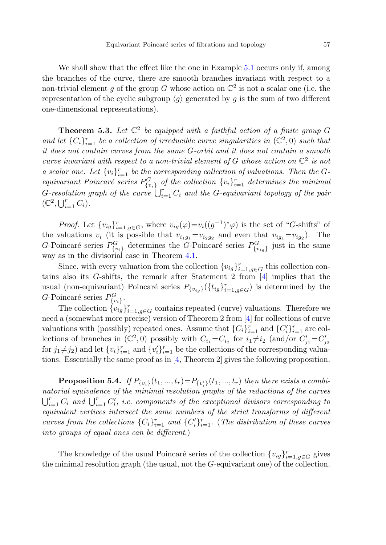<span id="page-14-0"></span>We shall show that the effect like the one in Example [5.1](#page-13-0) occurs only if, among the branches of the curve, there are smooth branches invariant with respect to a non-trivial element g of the group G whose action on  $\mathbb{C}^2$  is not a scalar one (i.e. the representation of the cyclic subgroup  $\langle g \rangle$  generated by g is the sum of two different one-dimensional representations).

**Theorem 5.3.** Let  $\mathbb{C}^2$  be equipped with a faithful action of a finite group G and let  $\{C_i\}_{i=1}^r$  be a collection of irreducible curve singularities in  $(\mathbb{C}^2,0)$  such that it does not contain curves from the same G-orbit and it does not contain a smooth curve invariant with respect to a non-trivial element of G whose action on  $\mathbb{C}^2$  is not a scalar one. Let  $\{v_i\}_{i=1}^r$  be the corresponding collection of valuations. Then the Gequivariant Poincaré series  $P_{\{v_i\}}^G$  of the collection  $\{v_i\}_{i=1}^r$  determines the minimal G-resolution graph of the curve  $\bigcup_{i=1}^r C_i$  and the G-equivariant topology of the pair  $(\mathbb{C}^2,\bigcup_{i=1}^r C_i).$ 

*Proof.* Let  $\{v_{ig}\}_{i=1,g\in G}^r$ , where  $v_{ig}(\varphi)=v_i((g^{-1})^*\varphi)$  is the set of "G-shifts" of the valuations  $v_i$  (it is possible that  $v_{i_1g_1} = v_{i_2g_2}$  and even that  $v_{ig_1} = v_{ig_2}$ ). The G-Poincaré series  $P_{\{v_i\}}^G$  determines the G-Poincaré series  $P_{\{v_{ig}\}}^G$  just in the same way as in the divisorial case in Theorem [4.1](#page-11-0).

Since, with every valuation from the collection  ${v_{ig}}_{i=1,g\in G}^r$  this collection contains also its G-shifts, the remark after Statement 2 from [[4\]](#page-15-6) implies that the usual (non-equivariant) Poincaré series  $P_{\{v_{ig}\}}(\{t_{ig}\}_{i=1,g\in G}^r)$  is determined by the G-Poincaré series  $P_{\{v_i\}}^G$ .

The collection  $\{v_{ig}\}_{i=1,g\in G}^r$  contains repeated (curve) valuations. Therefore we need a (somewhat more precise) version of Theorem 2 from [\[4](#page-15-6)] for collections of curve valuations with (possibly) repeated ones. Assume that  $\{C_i\}_{i=1}^r$  and  $\{C_i'\}_{i=1}^r$  are collections of branches in  $(\mathbb{C}^2, 0)$  possibly with  $C_{i_1} = C_{i_2}$  for  $i_1 \neq i_2$  (and/or  $C'_{j_1} = C'_{j_2}$ for  $j_1 \neq j_2$ ) and let  $\{v_i\}_{i=1}^r$  and  $\{v_i'\}_{i=1}^r$  be the collections of the corresponding valuations. Essentially the same proof as in [[4,](#page-15-6) Theorem 2] gives the following proposition.

**Proposition 5.4.** If  $P_{\{v_i\}}(t_1, ..., t_r) = P_{\{v'_i\}}(t_1, ..., t_r)$  then there exists a combinatorial equivalence of the minimal resolution graphs of the reductions of the curves  $\bigcup_{i=1}^r C_i$  and  $\bigcup_{i=1}^r C'_i$ , i.e. components of the exceptional divisors corresponding to equivalent vertices intersect the same numbers of the strict transforms of different curves from the collections  $\{C_i\}_{i=1}^r$  and  $\{C'_i\}_{i=1}^r$ . (The distribution of these curves into groups of equal ones can be different.)

The knowledge of the usual Poincaré series of the collection  ${v_{ig}}_{i=1,g\in G}^r$  gives the minimal resolution graph (the usual, not the G-equivariant one) of the collection.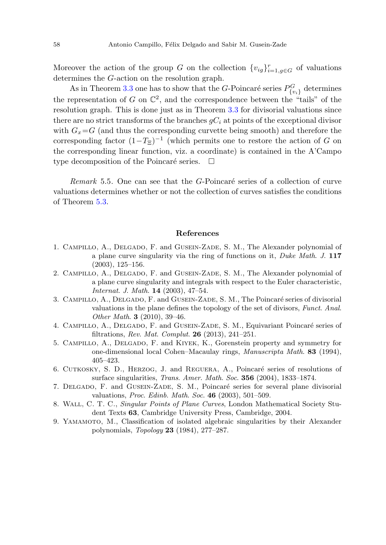Moreover the action of the group G on the collection  ${v_{ig}}_{i=1,g\in G}^r$  of valuations determines the G-action on the resolution graph.

As in Theorem [3.3](#page-10-1) one has to show that the *G*-Poincaré series  $P_{\{v_i\}}^G$  determines the representation of G on  $\mathbb{C}^2$ , and the correspondence between the "tails" of the resolution graph. This is done just as in Theorem [3.3](#page-10-1) for divisorial valuations since there are no strict transforms of the branches  $gC_i$  at points of the exceptional divisor with  $G_x = G$  (and thus the corresponding curvette being smooth) and therefore the corresponding factor  $(1-T_0^{-1})^{-1}$  (which permits one to restore the action of G on the corresponding linear function, viz. a coordinate) is contained in the A'Campo type decomposition of the Poincaré series.  $\Box$ 

<span id="page-15-8"></span><span id="page-15-1"></span>Remark 5.5. One can see that the  $G$ -Poincaré series of a collection of curve valuations determines whether or not the collection of curves satisfies the conditions of Theorem [5.3.](#page-14-0)

## **References**

- <span id="page-15-6"></span><span id="page-15-4"></span>1. Campillo, A., Delgado, F. and Gusein-Zade, S. M., The Alexander polynomial of a plane curve singularity via the ring of functions on it, Duke Math. J. **117** (2003), 125–156.
- <span id="page-15-0"></span>2. Campillo, A., Delgado, F. and Gusein-Zade, S. M., The Alexander polynomial of a plane curve singularity and integrals with respect to the Euler characteristic, Internat. J. Math. **14** (2003), 47–54.
- <span id="page-15-5"></span>3. CAMPILLO, A., DELGADO, F. and GUSEIN-ZADE, S. M., The Poincaré series of divisorial valuations in the plane defines the topology of the set of divisors, Funct. Anal. Other Math. **3** (2010), 39–46.
- <span id="page-15-7"></span><span id="page-15-2"></span>4. CAMPILLO, A., DELGADO, F. and GUSEIN-ZADE, S. M., Equivariant Poincaré series of filtrations, Rev. Mat. Complut. **26** (2013), 241–251.
- <span id="page-15-3"></span>5. Campillo, A., Delgado, F. and Kiyek, K., Gorenstein property and symmetry for one-dimensional local Cohen–Macaulay rings, Manuscripta Math. **83** (1994), 405–423.
- 6. CUTKOSKY, S. D., HERZOG, J. and REGUERA, A., Poincaré series of resolutions of surface singularities, Trans. Amer. Math. Soc. **356** (2004), 1833–1874.
- 7. DELGADO, F. and GUSEIN-ZADE, S. M., Poincaré series for several plane divisorial valuations, Proc. Edinb. Math. Soc. **46** (2003), 501–509.
- 8. Wall, C. T. C., Singular Points of Plane Curves, London Mathematical Society Student Texts **63**, Cambridge University Press, Cambridge, 2004.
- 9. Yamamoto, M., Classification of isolated algebraic singularities by their Alexander polynomials, Topology **23** (1984), 277–287.